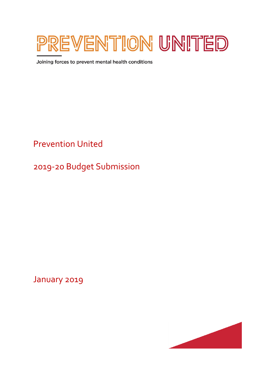

Joining forces to prevent mental health conditions

Prevention United

2019-20 Budget Submission

January 2019

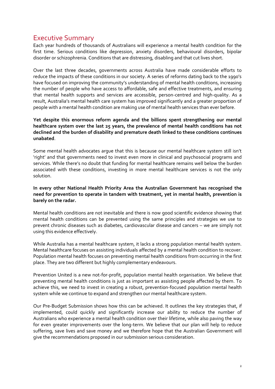## <span id="page-1-0"></span>Executive Summary

Each year hundreds of thousands of Australians will experience a mental health condition for the first time. Serious conditions like depression, anxiety disorders, behavioural disorders, bipolar disorder or schizophrenia. Conditions that are distressing, disabling and that cut lives short.

Over the last three decades, governments across Australia have made considerable efforts to reduce the impacts of these conditions in our society. A series of reforms dating back to the 1990's have focused on improving the community's understanding of mental health conditions, increasing the number of people who have access to affordable, safe and effective treatments, and ensuring that mental health supports and services are accessible, person-centred and high-quality. As a result, Australia's mental health care system has improved significantly and a greater proportion of people with a mental health condition are making use of mental health services than ever before.

## **Yet despite this enormous reform agenda and the billions spent strengthening our mental healthcare system over the last 25 years, the prevalence of mental health conditions has not declined and the burden of disability and premature death linked to these conditions continues unabated**.

Some mental health advocates argue that this is because our mental healthcare system still isn't 'right' and that governments need to invest even more in clinical and psychosocial programs and services. While there's no doubt that funding for mental healthcare remains well below the burden associated with these conditions, investing in more mental healthcare services is not the only solution.

## **In every other National Health Priority Area the Australian Government has recognised the need for prevention to operate in tandem with treatment, yet in mental health, prevention is barely on the radar.**

Mental health conditions are not inevitable and there is now good scientific evidence showing that mental health conditions can be prevented using the same principles and strategies we use to prevent chronic diseases such as diabetes, cardiovascular disease and cancers – we are simply not using this evidence effectively.

While Australia has a mental healthcare system, it lacks a strong population mental health system. Mental healthcare focuses on assisting individuals affected by a mental health condition to recover. Population mental health focuses on preventing mental health conditions from occurring in the first place. They are two different but highly complementary endeavours.

Prevention United is a new not-for-profit, population mental health organisation. We believe that preventing mental health conditions is just as important as assisting people affected by them. To achieve this, we need to invest in creating a robust, prevention-focused population mental health system while we continue to expand and strengthen our mental healthcare system.

Our Pre-Budget Submission shows how this can be achieved. It outlines the key strategies that, if implemented, could quickly and significantly increase our ability to reduce the number of Australians who experience a mental health condition over their lifetime, while also paving the way for even greater improvements over the long-term. We believe that our plan will help to reduce suffering, save lives and save money and we therefore hope that the Australian Government will give the recommendations proposed in our submission serious consideration.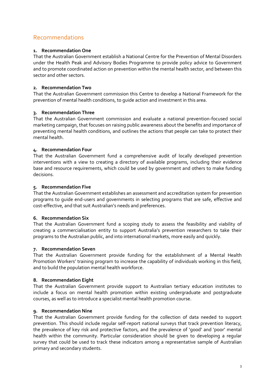## <span id="page-2-0"></span>Recommendations

## **1. Recommendation One**

That the Australian Government establish a National Centre for the Prevention of Mental Disorders under the Health Peak and Advisory Bodies Programme to provide policy advice to Government and to promote coordinated action on prevention within the mental health sector, and between this sector and other sectors.

## **2. Recommendation Two**

That the Australian Government commission this Centre to develop a National Framework for the prevention of mental health conditions, to guide action and investment in this area.

## **3. Recommendation Three**

That the Australian Government commission and evaluate a national prevention-focused social marketing campaign, that focuses on raising public awareness about the benefits and importance of preventing mental health conditions, and outlines the actions that people can take to protect their mental health.

## **4. Recommendation Four**

That the Australian Government fund a comprehensive audit of locally developed prevention interventions with a view to creating a directory of available programs, including their evidence base and resource requirements, which could be used by government and others to make funding decisions.

## **5. Recommendation Five**

That the Australian Government establishes an assessment and accreditation system for prevention programs to guide end-users and governments in selecting programs that are safe, effective and cost-effective, and that suit Australian's needs and preferences.

## **6. Recommendation Six**

That the Australian Government fund a scoping study to assess the feasibility and viability of creating a commercialisation entity to support Australia's prevention researchers to take their programs to the Australian public, and into international markets, more easily and quickly.

## **7. Recommendation Seven**

That the Australian Government provide funding for the establishment of a Mental Health Promotion Workers' training program to increase the capability of individuals working in this field, and to build the population mental health workforce.

## **8. Recommendation Eight**

That the Australian Government provide support to Australian tertiary education institutes to include a focus on mental health promotion within existing undergraduate and postgraduate courses, as well as to introduce a specialist mental health promotion course.

## **9. Recommendation Nine**

That the Australian Government provide funding for the collection of data needed to support prevention. This should include regular self-report national surveys that track prevention literacy, the prevalence of key risk and protective factors, and the prevalence of 'good' and 'poor' mental health within the community. Particular consideration should be given to developing a regular survey that could be used to track these indicators among a representative sample of Australian primary and secondary students.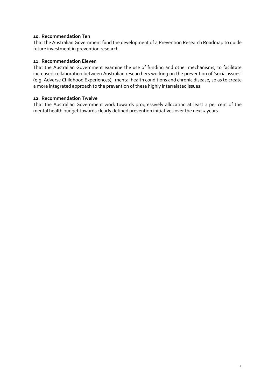## **10. Recommendation Ten**

That the Australian Government fund the development of a Prevention Research Roadmap to guide future investment in prevention research.

#### **11. Recommendation Eleven**

That the Australian Government examine the use of funding and other mechanisms, to facilitate increased collaboration between Australian researchers working on the prevention of 'social issues' (e.g. Adverse Childhood Experiences), mental health conditions and chronic disease, so as to create a more integrated approach to the prevention of these highly interrelated issues.

#### **12. Recommendation Twelve**

That the Australian Government work towards progressively allocating at least 2 per cent of the mental health budget towards clearly defined prevention initiatives over the next 5 years.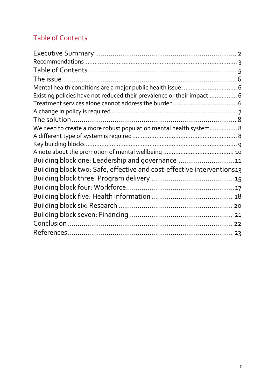# <span id="page-4-0"></span>Table of Contents

| Existing policies have not reduced their prevalence or their impact  6 |  |
|------------------------------------------------------------------------|--|
|                                                                        |  |
|                                                                        |  |
|                                                                        |  |
| We need to create a more robust population mental health system 8      |  |
|                                                                        |  |
|                                                                        |  |
|                                                                        |  |
| Building block one: Leadership and governance 11                       |  |
| Building block two: Safe, effective and cost-effective interventions13 |  |
|                                                                        |  |
|                                                                        |  |
|                                                                        |  |
|                                                                        |  |
|                                                                        |  |
|                                                                        |  |
|                                                                        |  |
|                                                                        |  |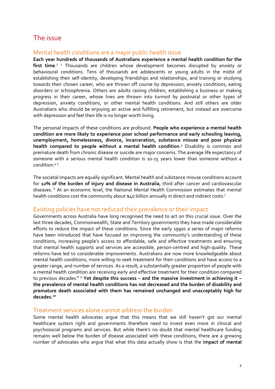## <span id="page-5-0"></span>The issue

## <span id="page-5-1"></span>Mental health conditions are a major public health issue

**Each year hundreds of thousands of Australians experience a mental health condition for the**  first time.<sup>1</sup> <sup>2</sup> Thousands are children whose development becomes disrupted by anxiety or behavioural conditions. Tens of thousands are adolescents or young adults in the midst of establishing their self-identity, developing friendships and relationships, and training or studying towards their chosen career, who are thrown off course by depression, anxiety conditions, eating disorders or schizophrenia. Others are adults raising children, establishing a business or making progress in their career, whose lives are thrown into turmoil by postnatal or other types of depression, anxiety conditions, or other mental health conditions. And still others are older Australians who should be enjoying an active and fulfilling retirement, but instead are overcome with depression and feel their life is no longer worth living.

The personal impacts of these conditions are profound. **People who experience a mental health condition are more likely to experience poor school performance and early schooling leaving, unemployment, homelessness, divorce, incarceration, substance misuse and poor physical health compared to people without a mental health condition**. <sup>3</sup> Disability is common and premature death from chronic disease or suicide are major concerns. The average life expectancy of someone with a serious mental health condition is 10-15 years lower than someone without a condition. 4 5

The societal impacts are equally significant. Mental health and substance misuse conditions account for **12% of the burden of injury and disease in Australia**, third after cancer and cardiovascular diseases. <sup>6</sup> At an economic level, the National Mental Health Commission estimates that mental health conditions cost the community about \$40 billion annually in direct and indirect costs.<sup>7</sup>

## <span id="page-5-2"></span>Existing policies have not reduced their prevalence or their impact

Governments across Australia have long recognised the need to act on this crucial issue. Over the last three decades, Commonwealth, State and Territory governments they have made considerable efforts to reduce the impact of these conditions. Since the early 1990s a series of major reforms have been introduced that have focused on improving the community's understanding of these conditions, increasing people's access to affordable, safe and effective treatments and ensuring that mental health supports and services are accessible, person-centred and high-quality. These reforms have led to considerable improvements. Australians are now more knowledgeable about mental health conditions, more willing to seek treatment for their conditions and have access to a greater range, and number of services. As a result, a substantially greater proportion of people with a mental health condition are receiving early and effective treatment for their condition compared to previous decades. <sup>8</sup> <sup>9</sup> **Yet despite this success – and the massive investment in achieving it – the prevalence of mental health conditions has not decreased and the burden of disability and premature death associated with them has remained unchanged and unacceptably high for decades. 10**

## <span id="page-5-3"></span>Treatment services alone cannot address the burden

Some mental health advocates argue that this means that we still haven't got our mental healthcare system right and governments therefore need to invest even more in clinical and psychosocial programs and services. But while there's no doubt that mental healthcare funding remains well below the burden of disease associated with these conditions, there are a growing number of advocates who argue that what this data actually show is that the **impact of mental**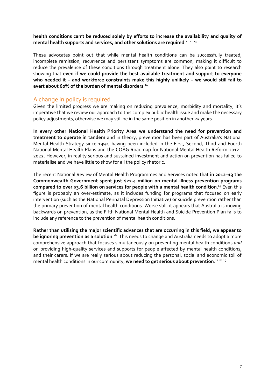**health conditions can't be reduced solely by efforts to increase the availability and quality of**  mental health supports and services, and other solutions are required.<sup>11 12</sup> <sup>13</sup>

These advocates point out that while mental health conditions can be successfully treated, incomplete remission, recurrence and persistent symptoms are common, making it difficult to reduce the prevalence of these conditions through treatment alone. They also point to research showing that **even if we could provide the best available treatment and support to everyone who needed it – and workforce constraints make this highly unlikely – we would still fail to avert about 60% of the burden of mental disorders**. 14

## <span id="page-6-0"></span>A change in policy is required

Given the limited progress we are making on reducing prevalence, morbidity and mortality, it's imperative that we review our approach to this complex public health issue and make the necessary policy adjustments, otherwise we may still be in the same position in another 25 years.

**In every other National Health Priority Area we understand the need for prevention and treatment to operate in tandem** and in theory, prevention has been part of Australia's National Mental Health Strategy since 1992, having been included in the First, Second, Third and Fourth National Mental Health Plans and the COAG Roadmap for National Mental Health Reform 2012– 2022. However, in reality serious and sustained investment and action on prevention has failed to materialise and we have little to show for all the policy rhetoric.

The recent National Review of Mental Health Programmes and Services noted that **in 2012–13 the Commonwealth Government spent just \$22.4 million on mental illness prevention programs compared to over \$3.6 billion on services for people with a mental health condition**. <sup>15</sup> Even this figure is probably an over-estimate, as it includes funding for programs that focused on early intervention (such as the National Perinatal Depression Initiative) or suicide prevention rather than the primary prevention of mental health conditions. Worse still, it appears that Australia is moving backwards on prevention, as the Fifth National Mental Health and Suicide Prevention Plan fails to include any reference to the prevention of mental health conditions.

**Rather than utilising the major scientific advances that are occurring in this field, we appear to**  be ignoring prevention as a solution.<sup>16</sup> This needs to change and Australia needs to adopt a more comprehensive approach that focuses simultaneously on preventing mental health conditions *and* on providing high-quality services and supports for people affected by mental health conditions, and their carers. If we are really serious about reducing the personal, social and economic toll of mental health conditions in our community, **we need to get serious about prevention**. 17 18 19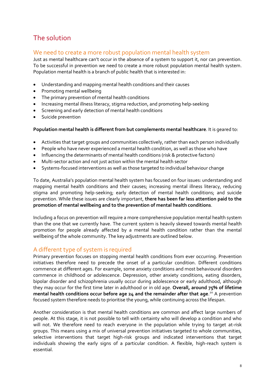# <span id="page-7-0"></span>The solution

## <span id="page-7-1"></span>We need to create a more robust population mental health system

Just as mental healthcare can't occur in the absence of a system to support it, nor can prevention. To be successful in prevention we need to create a more robust population mental health system. Population mental health is a branch of public health that is interested in:

- Understanding and mapping mental health conditions and their causes
- Promoting mental wellbeing
- The primary prevention of mental health conditions
- Increasing mental illness literacy, stigma reduction, and promoting help-seeking
- Screening and early detection of mental health conditions
- Suicide prevention

**Population mental health is different from but complements mental healthcare**. It is geared to:

- Activities that target groups and communities collectively, rather than each person individually
- People who have never experienced a mental health condition, as well as those who have
- Influencing the determinants of mental health conditions (risk & protective factors)
- Multi-sector action and not just action within the mental health sector
- Systems-focused interventions as well as those targeted to individual behaviour change

To date, Australia's population mental health system has focused on four issues: understanding and mapping mental health conditions and their causes; increasing mental illness literacy, reducing stigma and promoting help-seeking; early detection of mental health conditions; and suicide prevention. While these issues are clearly important, **there has been far less attention paid to the promotion of mental wellbeing and to the prevention of mental health conditions**.

Including a focus on prevention will require a more comprehensive population mental health system than the one that we currently have. The current system is heavily skewed towards mental health promotion for people already affected by a mental health condition rather than the mental wellbeing of the whole community. The key adjustments are outlined below.

## <span id="page-7-2"></span>A different type of system is required

Primary prevention focuses on stopping mental health conditions from ever occurring. Prevention initiatives therefore need to precede the onset of a particular condition. Different conditions commence at different ages. For example, some anxiety conditions and most behavioural disorders commence in childhood or adolescence. Depression, other anxiety conditions, eating disorders, bipolar disorder and schizophrenia usually occur during adolescence or early adulthood, although they may occur for the first time later in adulthood or in old age. **Overall, around 75% of lifetime mental health conditions occur before age 24 and the remainder after that age**. <sup>20</sup> A prevention focused system therefore needs to prioritise the young, while continuing across the lifespan.

Another consideration is that mental health conditions are common and affect large numbers of people. At this stage, it is not possible to tell with certainty who will develop a condition and who will not. We therefore need to reach everyone in the population while trying to target at-risk groups. This means using a mix of universal prevention initiatives targeted to whole communities, selective interventions that target high-risk groups and indicated interventions that target individuals showing the early signs of a particular condition. A flexible, high-reach system is essential.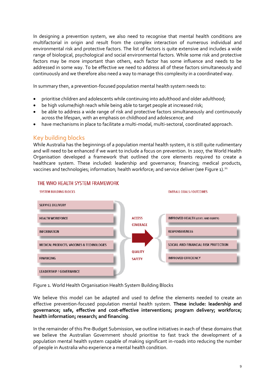In designing a prevention system, we also need to recognise that mental health conditions are multifactorial in origin and result from the complex interaction of numerous individual and environmental risk and protective factors. The list of factors is quite extensive and includes a wide range of biological, psychological and social environmental factors. While some risk and protective factors may be more important than others, each factor has some influence and needs to be addressed in some way. To be effective we need to address all of these factors simultaneously and continuously and we therefore also need a way to manage this complexity in a coordinated way.

In summary then, a prevention-focused population mental health system needs to:

- prioritise children and adolescents while continuing into adulthood and older adulthood;
- be high volume/high reach while being able to target people at increased risk;
- be able to address a wide range of risk and protective factors simultaneously and continuously across the lifespan, with an emphasis on childhood and adolescence; and
- have mechanisms in place to facilitate a multi-modal, multi-sectoral, coordinated approach.

## <span id="page-8-0"></span>Key building blocks

While Australia has the beginnings of a population mental health system, it is still quite rudimentary and will need to be enhanced if we want to include a focus on prevention. In 2007, the World Health Organisation developed a framework that outlined the core elements required to create a healthcare system. These included: leadership and governance; financing; medical products, vaccines and technologies; information; health workforce; and service deliver (see Figure 1).<sup>21</sup>



## THE WHO HEALTH SYSTEM FRAMEWORK

Figure 1. World Health Organisation Health System Building Blocks

We believe this model can be adapted and used to define the elements needed to create an effective prevention-focused population mental health system. **These include: leadership and governance; safe, effective and cost-effective interventions; program delivery; workforce; health information; research; and financing**.

In the remainder of this Pre-Budget Submission, we outline initiatives in each of these domains that we believe the Australian Government should prioritise to fast track the development of a population mental health system capable of making significant in-roads into reducing the number of people in Australia who experience a mental health condition.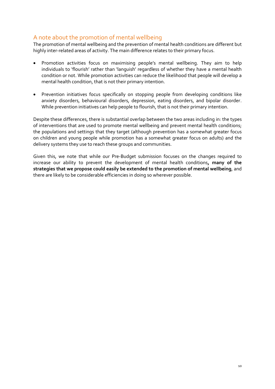## <span id="page-9-0"></span>A note about the promotion of mental wellbeing

The promotion of mental wellbeing and the prevention of mental health conditions are different but highly inter-related areas of activity. The main difference relates to their primary focus.

- Promotion activities focus on maximising people's mental wellbeing. They aim to help individuals to 'flourish' rather than 'languish' regardless of whether they have a mental health condition or not. While promotion activities can reduce the likelihood that people will develop a mental health condition, that is not their primary intention.
- Prevention initiatives focus specifically on stopping people from developing conditions like anxiety disorders, behavioural disorders, depression, eating disorders, and bipolar disorder. While prevention initiatives can help people to flourish, that is not their primary intention.

Despite these differences, there is substantial overlap between the two areas including in: the types of interventions that are used to promote mental wellbeing and prevent mental health conditions; the populations and settings that they target (although prevention has a somewhat greater focus on children and young people while promotion has a somewhat greater focus on adults) and the delivery systems they use to reach these groups and communities.

Given this, we note that while our Pre-Budget submission focuses on the changes required to increase our ability to prevent the development of mental health conditions**, many of the strategies that we propose could easily be extended to the promotion of mental wellbeing**, and there are likely to be considerable efficiencies in doing so wherever possible.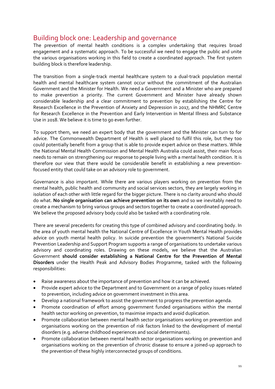# <span id="page-10-0"></span>Building block one: Leadership and governance

The prevention of mental health conditions is a complex undertaking that requires broad engagement and a systematic approach. To be successful we need to engage the public and unite the various organisations working in this field to create a coordinated approach. The first system building block is therefore leadership.

The transition from a single-track mental healthcare system to a dual-track population mental health and mental healthcare system cannot occur without the commitment of the Australian Government and the Minister for Health. We need a Government and a Minister who are prepared to make prevention a priority. The current Government and Minister have already shown considerable leadership and a clear commitment to prevention by establishing the Centre for Research Excellence in the Prevention of Anxiety and Depression in 2017, and the NHMRC Centre for Research Excellence in the Prevention and Early Intervention in Mental Illness and Substance Use in 2018. We believe it is time to go even further.

To support them, we need an expert body that the government and the Minister can turn to for advice. The Commonwealth Department of Health is well placed to fulfil this role, but they too could potentially benefit from a group that is able to provide expert advice on these matters. While the National Mental Health Commission and Mental Health Australia could assist, their main focus needs to remain on strengthening our response to people living with a mental health condition. It is therefore our view that there would be considerable benefit in establishing a new preventionfocused entity that could take on an advisory role to government.

Governance is also important. While there are various players working on prevention from the mental health, public health and community and social services sectors, they are largely working in isolation of each other with little regard for the bigger picture. There is no clarity around who should do what. **No single organisation can achieve prevention on its own** and so we inevitably need to create a mechanism to bring various groups and sectors together to create a coordinated approach. We believe the proposed advisory body could also be tasked with a coordinating role.

There are several precedents for creating this type of combined advisory and coordinating body. In the area of youth mental health the National Centre of Excellence in Youth Mental Health provides advice on youth mental health policy. In suicide prevention the government's National Suicide Prevention Leadership and Support Program supports a range of organisations to undertake various advisory and coordinating roles. Drawing on these models, we believe that the Australian Government **should consider establishing a National Centre for the Prevention of Mental Disorders** under the Health Peak and Advisory Bodies Programme, tasked with the following responsibilities:

- Raise awareness about the importance of prevention and how it can be achieved.
- Provide expert advice to the Department and to Government on a range of policy issues related to prevention, including advice on government investment in this area.
- Develop a national framework to assist the government to progress the prevention agenda.
- Promote coordination of effort among government funded organisations within the mental health sector working on prevention, to maximise impacts and avoid duplication.
- Promote collaboration between mental health sector organisations working on prevention and organisations working on the prevention of risk factors linked to the development of mental disorders (e.g. adverse childhood experiences and social determinants).
- Promote collaboration between mental health sector organisations working on prevention and organisations working on the prevention of chronic disease to ensure a joined-up approach to the prevention of these highly interconnected groups of conditions.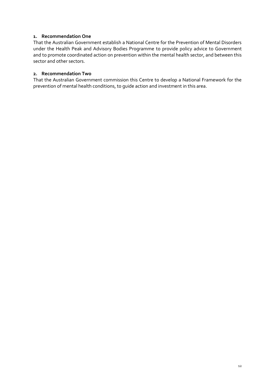## **1. Recommendation One**

That the Australian Government establish a National Centre for the Prevention of Mental Disorders under the Health Peak and Advisory Bodies Programme to provide policy advice to Government and to promote coordinated action on prevention within the mental health sector, and between this sector and other sectors.

## **2. Recommendation Two**

That the Australian Government commission this Centre to develop a National Framework for the prevention of mental health conditions, to guide action and investment in this area.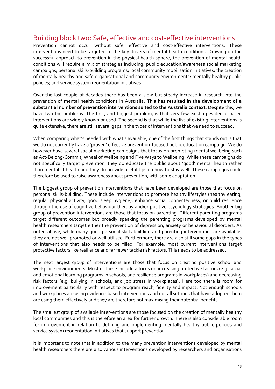# <span id="page-12-0"></span>Building block two: Safe, effective and cost-effective interventions

Prevention cannot occur without safe, effective and cost-effective interventions. These interventions need to be targeted to the key drivers of mental health conditions. Drawing on the successful approach to prevention in the physical health sphere, the prevention of mental health conditions will require a mix of strategies including: public education/awareness social marketing campaigns; personal skills-building programs; local community mobilisation initiatives; the creation of mentally healthy and safe organisational and community environments; mentally healthy public policies; and service system reorientation initiatives.

Over the last couple of decades there has been a slow but steady increase in research into the prevention of mental health conditions in Australia. **This has resulted in the development of a substantial number of prevention interventions suited to the Australia context**. Despite this, we have two big problems. The first, and biggest problem, is that very few existing evidence-based interventions are widely known or used. The second is that while the list of existing interventions is quite extensive, there are still several gaps in the types of interventions that we need to succeed.

When comparing what's needed with what's available, one of the first things that stands out is that we do not currently have a 'proven' effective prevention-focused public education campaign. We do however have several social marketing campaigns that focus on promoting mental wellbeing such as Act-Belong-Commit, Wheel of Wellbeing and Five Ways to Wellbeing. While these campaigns do not specifically target prevention, they do educate the public about 'good' mental health rather than mental ill-health and they do provide useful tips on how to stay well. These campaigns could therefore be used to raise awareness about prevention, with some adaptation.

The biggest group of prevention interventions that have been developed are those that focus on personal skills-building. These include interventions to promote healthy lifestyles (healthy eating, regular physical activity, good sleep hygiene), enhance social connectedness, or build resilience through the use of cognitive behaviour therapy and/or positive psychology strategies. Another big group of prevention interventions are those that focus on parenting. Different parenting programs target different outcomes but broadly speaking the parenting programs developed by mental health researchers target either the prevention of depression, anxiety or behavioural disorders. As noted above, while many good personal skills-building and parenting interventions are available, they are not well promoted or well utilised. Furthermore, there are also still some gaps in the types of interventions that also needs to be filled. For example, most current interventions target protective factors like resilience and far fewer tackle risk factors. This needs to be addressed.

The next largest group of interventions are those that focus on creating positive school and workplace environments. Most of these include a focus on increasing protective factors (e.g. social and emotional learning programs in schools, and resilience programs in workplaces) and decreasing risk factors (e.g. bullying in schools, and job stress in workplaces). Here too there is room for improvement particularly with respect to program reach, fidelity and impact. Not enough schools and workplaces are using evidence-based interventions and not all settings that have adopted them are using them effectively and they are therefore not maximising their potential benefits.

The smallest group of available interventions are those focused on the creation of mentally healthy local communities and this is therefore an area for further growth. There is also considerable room for improvement in relation to defining and implementing mentally healthy public policies and service system reorientation initiatives that support prevention.

It is important to note that in addition to the many prevention interventions developed by mental health researchers there are also various interventions developed by researchers and organisations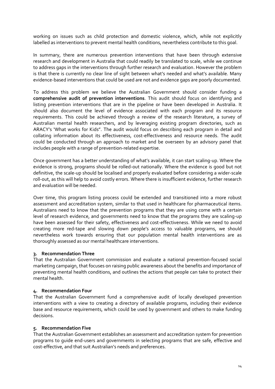working on issues such as child protection and domestic violence, which, while not explicitly labelled as interventions to prevent mental health conditions, nevertheless contribute to this goal.

In summary, there are numerous prevention interventions that have been through extensive research and development in Australia that could readily be translated to scale, while we continue to address gaps in the interventions through further research and evaluation. However the problem is that there is currently no clear line of sight between what's needed and what's available. Many evidence-based interventions that could be used are not and evidence gaps are poorly documented.

To address this problem we believe the Australian Government should consider funding a **comprehensive audit of prevention interventions**. This audit should focus on identifying and listing prevention interventions that are in the pipeline or have been developed in Australia. It should also document the level of evidence associated with each program and its resource requirements. This could be achieved through a review of the research literature, a survey of Australian mental health researchers, and by leveraging existing program directories, such as ARACY's 'What works for Kids". The audit would focus on describing each program in detail and collating information about its effectiveness, cost-effectiveness and resource needs. The audit could be conducted through an approach to market and be overseen by an advisory panel that includes people with a range of prevention-related expertise.

Once government has a better understanding of what's available, it can start scaling-up. Where the evidence is strong, programs should be rolled-out nationally. Where the evidence is good but not definitive, the scale-up should be localised and properly evaluated before considering a wider-scale roll-out, as this will help to avoid costly errors. Where there is insufficient evidence, further research and evaluation will be needed.

Over time, this program listing process could be extended and transitioned into a more robust assessment and accreditation system, similar to that used in healthcare for pharmaceutical items. Australians need to know that the prevention programs that they are using come with a certain level of research evidence, and governments need to know that the programs they are scaling-up have been assessed for their safety, effectiveness and cost-effectiveness. While we need to avoid creating more red-tape and slowing down people's access to valuable programs, we should nevertheless work towards ensuring that our population mental health interventions are as thoroughly assessed as our mental healthcare interventions.

## **3. Recommendation Three**

That the Australian Government commission and evaluate a national prevention-focused social marketing campaign, that focuses on raising public awareness about the benefits and importance of preventing mental health conditions, and outlines the actions that people can take to protect their mental health.

#### **4. Recommendation Four**

That the Australian Government fund a comprehensive audit of locally developed prevention interventions with a view to creating a directory of available programs, including their evidence base and resource requirements, which could be used by government and others to make funding decisions.

#### **5. Recommendation Five**

That the Australian Government establishes an assessment and accreditation system for prevention programs to guide end-users and governments in selecting programs that are safe, effective and cost-effective, and that suit Australian's needs and preferences.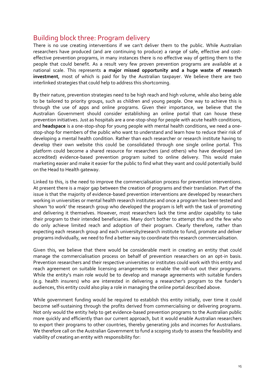## <span id="page-14-0"></span>Building block three: Program delivery

There is no use creating interventions if we can't deliver them to the public. While Australian researchers have produced (and are continuing to produce) a range of safe, effective and costeffective prevention programs, in many instances there is no effective way of getting them to the people that could benefit. As a result very few proven prevention programs are available at a national scale. This represents **a major missed opportunity and a huge waste of research investment**, most of which is paid for by the Australian taxpayer. We believe there are two interlinked strategies that could help to address this shortcoming.

By their nature, prevention strategies need to be high reach and high volume, while also being able to be tailored to priority groups, such as children and young people. One way to achieve this is through the use of apps and online programs. Given their importance, we believe that the Australian Government should consider establishing an online portal that can house these prevention initiatives. Just as hospitals are a one-stop-shop for people with acute health conditions, and **headspace** is a one-stop-shop for young people with mental health conditions, we need a onestop-shop for members of the public who want to understand and learn how to reduce their risk of developing a mental health condition. Rather than each researcher or research institute having to develop their own website this could be consolidated through one single online portal. This platform could become a shared resource for researchers (and others) who have developed (an accredited) evidence-based prevention program suited to online delivery. This would make marketing easier and make it easier for the public to find what they want and could potentially build on the Head to Health gateway.

Linked to this, is the need to improve the commercialisation process for prevention interventions. At present there is a major gap between the creation of programs and their translation. Part of the issue is that the majority of evidence-based prevention interventions are developed by researchers working in universities or mental health research institutes and once a program has been tested and shown 'to work' the research group who developed the program is left with the task of promoting and delivering it themselves. However, most researchers lack the time and/or capability to take their program to their intended beneficiaries. Many don't bother to attempt this and the few who do only achieve limited reach and adoption of their program. Clearly therefore, rather than expecting each research group and each university/research institute to fund, promote and deliver programs individually, we need to find a better way to coordinate this research commercialisation.

Given this, we believe that there would be considerable merit in creating an entity that could manage the commercialisation process on behalf of prevention researchers on an opt-in basis. Prevention researchers and their respective universities or institutes could work with this entity and reach agreement on suitable licensing arrangements to enable the roll-out out their programs. While the entity's main role would be to develop and manage agreements with suitable funders (e.g. health insurers) who are interested in delivering a researcher's program to the funder's audiences, this entity could also play a role in managing the online portal described above.

While government funding would be required to establish this entity initially, over time it could become self-sustaining through the profits derived from commercialising or delivering programs. Not only would the entity help to get evidence-based prevention programs to the Australian public more quickly and efficiently than our current approach, but it would enable Australian researchers to export their programs to other countries, thereby generating jobs and incomes for Australians. We therefore call on the Australian Government to fund a scoping study to assess the feasibility and viability of creating an entity with responsibility for: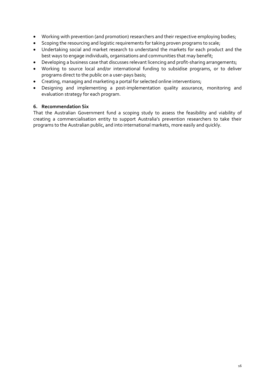- Working with prevention (and promotion) researchers and their respective employing bodies;
- Scoping the resourcing and logistic requirements for taking proven programs to scale;
- Undertaking social and market research to understand the markets for each product and the best ways to engage individuals, organisations and communities that may benefit;
- Developing a business case that discusses relevant licencing and profit-sharing arrangements;
- Working to source local and/or international funding to subsidise programs, or to deliver programs direct to the public on a user-pays basis;
- Creating, managing and marketing a portal for selected online interventions;
- Designing and implementing a post-implementation quality assurance, monitoring and evaluation strategy for each program.

## **6. Recommendation Six**

That the Australian Government fund a scoping study to assess the feasibility and viability of creating a commercialisation entity to support Australia's prevention researchers to take their programs to the Australian public, and into international markets, more easily and quickly.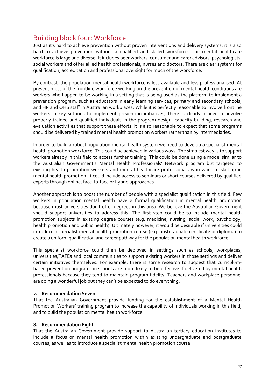# <span id="page-16-0"></span>Building block four: Workforce

Just as it's hard to achieve prevention without proven interventions and delivery systems, it is also hard to achieve prevention without a qualified and skilled workforce. The mental healthcare workforce is large and diverse. It includes peer workers, consumer and carer advisors, psychologists, social workers and other allied health professionals, nurses and doctors. There are clear systems for qualification, accreditation and professional oversight for much of the workforce.

By contrast, the population mental health workforce is less available and less professionalised. At present most of the frontline workforce working on the prevention of mental health conditions are workers who happen to be working in a setting that is being used as the platform to implement a prevention program, such as educators in early learning services, primary and secondary schools, and HR and OHS staff in Australian workplaces. While it is perfectly reasonable to involve frontline workers in key settings to implement prevention initiatives, there is clearly a need to involve properly trained and qualified individuals in the program design, capacity building, research and evaluation activities that support these efforts. It is also reasonable to expect that some programs should be delivered by trained mental health promotion workers rather than by intermediaries.

In order to build a robust population mental health system we need to develop a specialist mental health promotion workforce. This could be achieved in various ways. The simplest way is to support workers already in this field to access further training. This could be done using a model similar to the Australian Government's Mental Health Professionals' Network program but targeted to existing health promotion workers and mental healthcare professionals who want to skill-up in mental health promotion. It could include access to seminars or short courses delivered by qualified experts through online, face-to-face or hybrid approaches.

Another approach is to boost the number of people with a specialist qualification in this field. Few workers in population mental health have a formal qualification in mental health promotion because most universities don't offer degrees in this area. We believe the Australian Government should support universities to address this. The first step could be to include mental health promotion subjects in existing degree courses (e.g. medicine, nursing, social work, psychology, health promotion and public health). Ultimately however, it would be desirable if universities could introduce a specialist mental health promotion course (e.g. postgraduate certificate or diploma) to create a uniform qualification and career pathway for the population mental health workforce.

This specialist workforce could then be deployed in settings such as schools, workplaces, universities/TAFEs and local communities to support existing workers in those settings and deliver certain initiatives themselves. For example, there is some research to suggest that curriculumbased prevention programs in schools are more likely to be effective if delivered by mental health professionals because they tend to maintain program fidelity. Teachers and workplace personnel are doing a wonderful job but they can't be expected to do everything.

## **7. Recommendation Seven**

That the Australian Government provide funding for the establishment of a Mental Health Promotion Workers' training program to increase the capability of individuals working in this field, and to build the population mental health workforce.

## **8. Recommendation Eight**

That the Australian Government provide support to Australian tertiary education institutes to include a focus on mental health promotion within existing undergraduate and postgraduate courses, as well as to introduce a specialist mental health promotion course.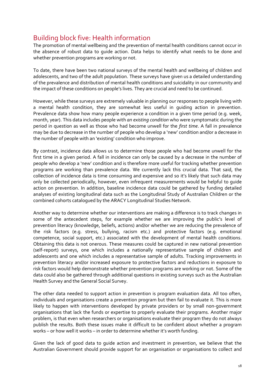# <span id="page-17-0"></span>Building block five: Health information

The promotion of mental wellbeing and the prevention of mental health conditions cannot occur in the absence of robust data to guide action. Data helps to identify what needs to be done and whether prevention programs are working or not.

To date, there have been two national surveys of the mental health and wellbeing of children and adolescents, and two of the adult population. These surveys have given us a detailed understanding of the prevalence and distribution of mental health conditions and suicidality in our community and the impact of these conditions on people's lives. They are crucial and need to be continued.

However, while these surveys are extremely valuable in planning our responses to people living with a mental health condition, they are somewhat less useful in guiding action in prevention. Prevalence data show how many people experience a condition in a given time period (e.g. week, month, year). This data includes people with *an existing condition* who were symptomatic during the period in question as well as those who had become unwell for the *first time*. A fall in prevalence may be due to decrease in the number of people who develop a 'new' condition and/or a decrease in the number of people with an 'existing' condition who improve.

By contrast, incidence data allows us to determine those people who had become unwell for the first time in a given period. A fall in incidence can only be caused by a decrease in the number of people who develop a 'new' condition and is therefore more useful for tracking whether prevention programs are working than prevalence data. We currently lack this crucial data. That said, the collection of incidence data is time consuming and expensive and so it's likely that such data may only be collected periodically, however, even infrequent measurements would be helpful to guide action on prevention. In addition, baseline incidence data could be gathered by funding detailed analyses of existing longitudinal data such as the Longitudinal Study of Australian Children or the combined cohorts catalogued by the ARACY Longitudinal Studies Network.

Another way to determine whether our interventions are making a difference is to track changes in some of the antecedent steps, for example whether we are improving the public's level of prevention literacy (knowledge, beliefs, actions) and/or whether we are reducing the prevalence of the risk factors (e.g. stress, bullying, racism etc.) and protective factors (e.g. emotional competence, social support, etc.) associated with the development of mental health conditions. Obtaining this data is not onerous. These measures could be captured in new national prevention (self-report) surveys, one which includes a nationally representative sample of children and adolescents and one which includes a representative sample of adults. Tracking improvements in prevention literacy and/or increased exposure to protective factors and reductions in exposure to risk factors would help demonstrate whether prevention programs are working or not. Some of the data could also be gathered through additional questions in existing surveys such as the Australian Health Survey and the General Social Survey.

The other data needed to support action in prevention is program evaluation data. All too often, individuals and organisations create a prevention program but then fail to evaluate it. This is more likely to happen with interventions developed by private providers or by small non-government organisations that lack the funds or expertise to properly evaluate their programs. Another major problem, is that even when researchers or organisations evaluate their program they do not always publish the results. Both these issues make it difficult to be confident about whether a program works – or how well it works – in order to determine whether it's worth funding.

Given the lack of good data to guide action and investment in prevention, we believe that the Australian Government should provide support for an organisation or organisations to collect and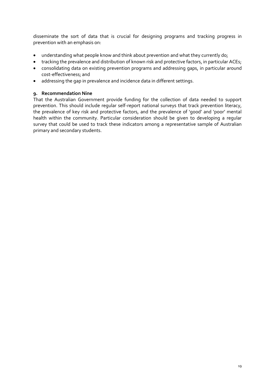disseminate the sort of data that is crucial for designing programs and tracking progress in prevention with an emphasis on:

- understanding what people know and think about prevention and what they currently do;
- tracking the prevalence and distribution of known risk and protective factors, in particular ACEs;
- consolidating data on existing prevention programs and addressing gaps, in particular around cost-effectiveness; and
- addressing the gap in prevalence and incidence data in different settings.

## **9. Recommendation Nine**

That the Australian Government provide funding for the collection of data needed to support prevention. This should include regular self-report national surveys that track prevention literacy, the prevalence of key risk and protective factors, and the prevalence of 'good' and 'poor' mental health within the community. Particular consideration should be given to developing a regular survey that could be used to track these indicators among a representative sample of Australian primary and secondary students.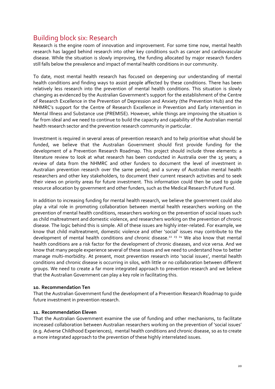# <span id="page-19-0"></span>Building block six: Research

Research is the engine room of innovation and improvement. For some time now, mental health research has lagged behind research into other key conditions such as cancer and cardiovascular disease. While the situation is slowly improving, the funding allocated by major research funders still falls below the prevalence and impact of mental health conditions in our community.

To date, most mental health research has focused on deepening our understanding of mental health conditions and finding ways to assist people affected by these conditions. There has been relatively less research into the prevention of mental health conditions. This situation is slowly changing as evidenced by the Australian Government's support for the establishment of the Centre of Research Excellence in the Prevention of Depression and Anxiety (the Prevention Hub) and the NHMRC's support for the Centre of Research Excellence in Prevention and Early intervention in Mental Illness and Substance use (PREMISE). However, while things are improving the situation is far from ideal and we need to continue to build the capacity and capability of the Australian mental health research sector and the prevention research community in particular.

Investment is required in several areas of prevention research and to help prioritise what should be funded, we believe that the Australian Government should first provide funding for the development of a Prevention Research Roadmap. This project should include three elements: a literature review to look at what research has been conducted in Australia over the 15 years; a review of data from the NHMRC and other funders to document the level of investment in Australian prevention research over the same period; and a survey of Australian mental health researchers and other key stakeholders, to document their current research activities and to seek their views on priority areas for future investment. This information could then be used to guide resource allocation by government and other funders, such as the Medical Research Future Fund.

In addition to increasing funding for mental health research, we believe the government could also play a vital role in promoting collaboration between mental health researchers working on the prevention of mental health conditions, researchers working on the prevention of social issues such as child maltreatment and domestic violence, and researchers working on the prevention of chronic disease. The logic behind this is simple. All of these issues are highly inter-related. For example, we know that child maltreatment, domestic violence and other 'social' issues may contribute to the development of mental health conditions *and* chronic disease.<sup>22</sup> <sup>23</sup> <sup>24</sup> We also know that mental health conditions are a risk factor for the development of chronic diseases, and vice versa. And we know that many people experience several of these issues and we need to understand how to better manage multi-morbidity. At present, most prevention research into 'social issues', mental health conditions and chronic disease is occurring in silos, with little or no collaboration between different groups. We need to create a far more integrated approach to prevention research and we believe that the Australian Government can play a key role in facilitating this.

#### **10. Recommendation Ten**

That the Australian Government fund the development of a Prevention Research Roadmap to guide future investment in prevention research.

#### **11. Recommendation Eleven**

That the Australian Government examine the use of funding and other mechanisms, to facilitate increased collaboration between Australian researchers working on the prevention of 'social issues' (e.g. Adverse Childhood Experiences), mental health conditions and chronic disease, so as to create a more integrated approach to the prevention of these highly interrelated issues.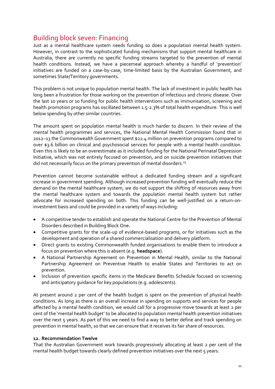# <span id="page-20-0"></span>Building block seven: Financing

Just as a mental healthcare system needs funding so does a population mental health system. However, in contrast to the sophisticated funding mechanisms that support mental healthcare in Australia, there are currently no specific funding streams targeted to the prevention of mental health conditions. Instead, we have a piecemeal approach whereby a handful of 'prevention' initiatives are funded on a case-by-case, time-limited basis by the Australian Government, and sometimes State/Territory governments.

This problem is not unique to population mental health. The lack of investment in public health has long been a frustration for those working on the prevention of infectious and chronic disease. Over the last 10 years or so funding for public health interventions such as immunisation, screening and health promotion programs has oscillated between 1.5-2.3% of total health expenditure. This is well below spending by other similar countries.

The amount spent on population mental health is much harder to discern. In their review of the mental health programmes and services, the National Mental Health Commission found that in 2012–13 the Commonwealth Government spent \$22.4 million on prevention programs compared to over \$3.6 billion on clinical and psychosocial services for people with a mental health condition. Even this is likely to be an overestimate as it included funding for the National Perinatal Depression Initiative, which was not entirely focused on prevention, and on suicide prevention initiatives that did not necessarily focus on the primary prevention of mental disorders.<sup>25</sup>

Prevention cannot become sustainable without a dedicated funding stream and a significant increase in government spending. Although increased prevention funding will eventually reduce the demand on the mental healthcare system, we do not support the shifting of resources away from the mental healthcare system and towards the population mental health system but rather advocate for increased spending on both. This funding can be well-justified on a return-oninvestment basis and could be provided in a variety of ways including:

- A competitive tender to establish and operate the National Centre for the Prevention of Mental Disorders described in Building Block One.
- Competitive grants for the scale-up of evidence-based programs, or for initiatives such as the development and operation of a shared commercialisation and delivery platform.
- Direct grants to existing Commonwealth funded organisations to enable them to introduce a focus on prevention where this is absent (e.g. **headspace**).
- A National Partnership Agreement on Prevention in Mental Health, similar to the National Partnership Agreement on Preventive Health to enable States and Territories to act on prevention.
- Inclusion of prevention specific items in the Medicare Benefits Schedule focused on screening and anticipatory guidance for key populations (e.g. adolescents).

At present around 2 per cent of the health budget is spent on the prevention of physical health conditions. As long as there is an overall increase in spending on supports and services for people affected by a mental health condition, we would call for a progressive move towards at least 2 per cent of the 'mental health budget' to be allocated to population mental health prevention initiatives over the next 5 years. As part of this we need to find a way to better define and track spending on prevention in mental health, so that we can ensure that it receives its fair share of resources.

#### **12. Recommendation Twelve**

That the Australian Government work towards progressively allocating at least 2 per cent of the mental health budget towards clearly defined prevention initiatives over the next 5 years.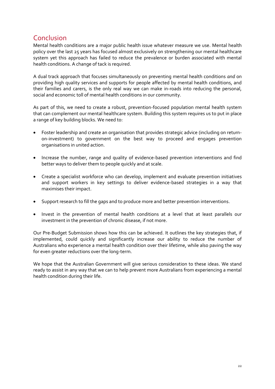# <span id="page-21-0"></span>Conclusion

Mental health conditions are a major public health issue whatever measure we use. Mental health policy over the last 25 years has focused almost exclusively on strengthening our mental healthcare system yet this approach has failed to reduce the prevalence or burden associated with mental health conditions. A change of tack is required.

A dual track approach that focuses simultaneously on preventing mental health conditions *and* on providing high quality services and supports for people affected by mental health conditions, and their families and carers, is the only real way we can make in-roads into reducing the personal, social and economic toll of mental health conditions in our community.

As part of this, we need to create a robust, prevention-focused population mental health system that can complement our mental healthcare system. Building this system requires us to put in place a range of key building blocks. We need to:

- Foster leadership and create an organisation that provides strategic advice (including on returnon-investment) to government on the best way to proceed and engages prevention organisations in united action.
- Increase the number, range and quality of evidence-based prevention interventions and find better ways to deliver them to people quickly and at scale.
- Create a specialist workforce who can develop, implement and evaluate prevention initiatives and support workers in key settings to deliver evidence-based strategies in a way that maximises their impact.
- Support research to fill the gaps and to produce more and better prevention interventions.
- Invest in the prevention of mental health conditions at a level that at least parallels our investment in the prevention of chronic disease, if not more.

Our Pre-Budget Submission shows how this can be achieved. It outlines the key strategies that, if implemented, could quickly and significantly increase our ability to reduce the number of Australians who experience a mental health condition over their lifetime, while also paving the way for even greater reductions over the long-term.

We hope that the Australian Government will give serious consideration to these ideas. We stand ready to assist in any way that we can to help prevent more Australians from experiencing a mental health condition during their life.